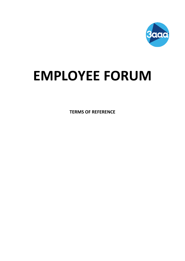

# **EMPLOYEE FORUM**

**TERMS OF REFERENCE**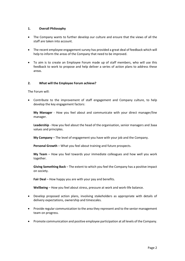# **1. Overall Philosophy**

- The Company wants to further develop our culture and ensure that the views of all the staff are taken into account.
- The recent employee engagement survey has provided a great deal of feedback which will help to inform the areas of the Company that need to be improved.
- To aim is to create an Employee Forum made up of staff members, who will use this feedback to work to propose and help deliver a series of action plans to address these areas.

# **2. What will the Employee Forum achieve?**

The Forum will:

• Contribute to the improvement of staff engagement and Company culture, to help develop the key engagement factors:

**My Manager** - How you feel about and communicate with your direct manager/line manager.

**Leadership** - How you feel about the head of the organisation, senior managers and 3aaa values and principles.

**My Company** – The level of engagement you have with your job and the Company.

**Personal Growth** – What you feel about training and future prospects.

**My Team** – How you feel towards your immediate colleagues and how well you work together.

**Giving Something Back** – The extent to which you feel the Company has a positive impact on society.

**Fair Deal** – How happy you are with your pay and benefits.

**Wellbeing** – How you feel about stress, pressure at work and work-life balance.

- Develop proposed action plans, involving stakeholders as appropriate with details of delivery expectations, ownership and timescales.
- Provide regular communication to the area they represent and to the senior management team on progress.
- Promote communication and positive employee participation at all levels of the Company.